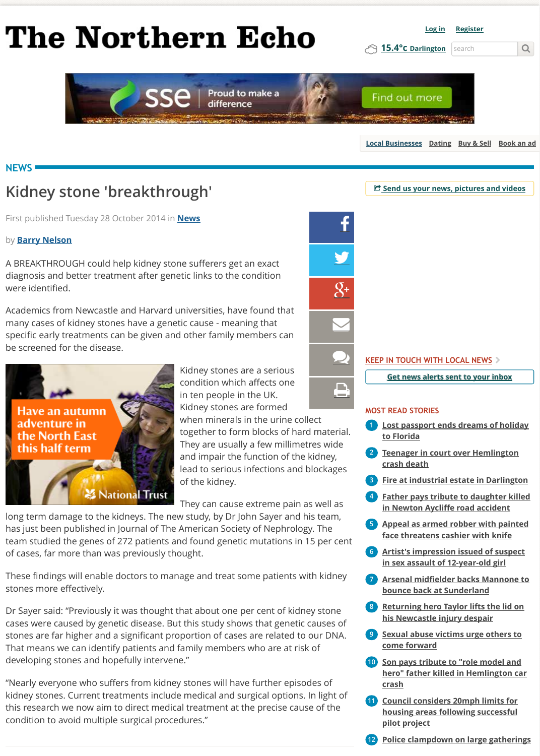Academics from Newcastle and Harvard universities, have found that many cases of kidney stones have a genetic cause - meaning that specifi[c early treatments can be given and other family members can](http://www.thenorthernecho.co.uk/) be screened for the disease.



Kidney stones are a serious condition which affects one in ten people in the UK. Kidney stones are formed

&  $\sum$ (

[when minerals in the urine collect](https://bs.serving-sys.com/BurstingPipe/BannerRedirect.bs?cn=brd&FlightID=11086573&Page=&sessionid=8814264762452909098&PluID=0&EyeblasterID=23523721&Pos=41942230745188&ord=308955188&sct=1&ncu=$$http://ams1.ib.adnxs.com/click?HaUGLnpzHUA2lNqLaKsZQNNNYhBYORpAbwAXe_ndNkDN--u8Wjw6QBh_MKMn5nkHiRT--3p57iRXK1JUAAAAAJ_vGwDLAQAARQUAAAIAAADjozgBQ6AEAAAAAQBVU0QAVVNEANgCWgCX1gAADLwDAQUAAQAAAAAAkiMOHQAAAAA./cnd=%21xwZuQAjXpc4CEOPH4gkYw8ASIAA./referrer=http%3A%2F%2Fwww.thenorthernecho.co.uk%2Fnews%2F11564090.Kidney_stone___39_breakthrough__39_%2F/clickenc=$$) together to form blocks of hard materia They are usually a few millimetres wide and impair the function of the kidney, lead to serious infections and blockages of the kidney.

They can cause extreme pain as well as

long term damage to the kidneys. The new study, by Dr John Sayer and his team, has just been published in Journal of The [Amer](http://www.thenorthernecho.co.uk/news/)ican Society of Nephrology. The team studied the genes of 272 patients and found genetic mutations in 15 per ce of [cases, far mor](http://www.thenorthernecho.co.uk/author/profile/59511/)e than was previously thought.

These findings will enable doctors to manage and treat some patients wi[th kidney](http://www.thenorthernecho.co.uk/news/11564090.Kidney_stone___39_breakthrough__39_/#) stones more effectively.

Dr Sayer said: "Previously it was thought that about one per cent of kidn[ey stone](http://www.thenorthernecho.co.uk/news/11564090.Kidney_stone___39_breakthrough__39_/#) cases were caused by genetic disease. But this study shows that genetic causes of stones are far higher and a significant proportion of cases are related to [our DNA.](http://www.thenorthernecho.co.uk/my/account/emailthispage/?title=Kidney%20stone%20) That means we can identify patients and family members who are at risk of developing stones and hopefully intervene."

"Nearly everyone who suffers from kidney stones will have further episo[des of](http://www.thenorthernecho.co.uk/news/11564090.Kidney_stone___39_breakthrough__39_/#comments) kidney stones. Current treatments include medical and surgical options. In light o this research we now aim to direct medical treatment at the precise cause of the condition to avoid multiple surgical procedures."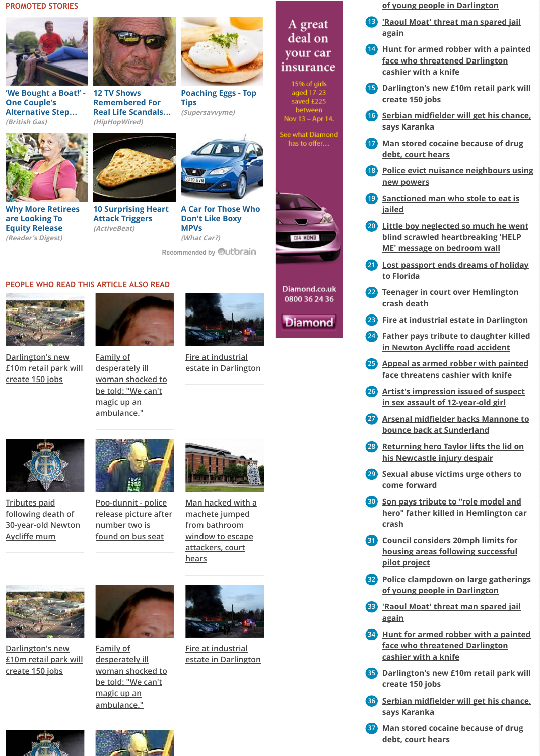

**Darlington's new [£10m retail park will](http://www.britishgas.co.uk/hometruths/riverside-dream.html) create 150 jobs**



**[woman shocked to](http://hiphopwired.com/2014/10/07/12-tv-shows-remembered-for-real-life-scandals-photos/) be told: "We can't**

**Family of**

**desperately ill**

**magic up an ambulance."**



**Fire at industrial [estate in Darlington](http://www.supersavvyme.co.uk/food/recipes/article/top-tips-poached-eggs)**





**Tributes paid following death of [30-year-old Newton](http://www.readersdigest.co.uk/money/equity-release/if-your-grocery-bill-grew-your-house-price) Aycliffe mum**



**Poo-dunnit - police [release picture after](http://www.activebeat.com/your-health/10-surprising-heart-attack-triggers/) number two is found on bus seat**



**[Man hacked with a](http://www.whatcar.com/car-reviews/seat/ibiza-estate/readers-reviews/25832-6) machete jumped from bathroom window to escape attackers, court [hears](http://www.thenorthernecho.co.uk/news/11564090.Kidney_stone___39_breakthrough__39_/#)**



**Darlington's new [£10m retail park will](http://uatu.newsquestdigital.co.uk/click2.php?f=11564090&t=11564074&r=518711609&s=118&p=2&v=a&n=6) create 150 jobs**



**Family of desperately ill [woman shocked to](http://uatu.newsquestdigital.co.uk/click2.php?f=11564090&t=11560554&r=518711609&s=118&p=3&v=a&n=6) be told: "We can't magic up an ambulance."**



**Fire at industrial [estate in Darlington](http://uatu.newsquestdigital.co.uk/click2.php?f=11564090&t=11566775&r=518711609&s=118&p=4&v=a&n=6)**



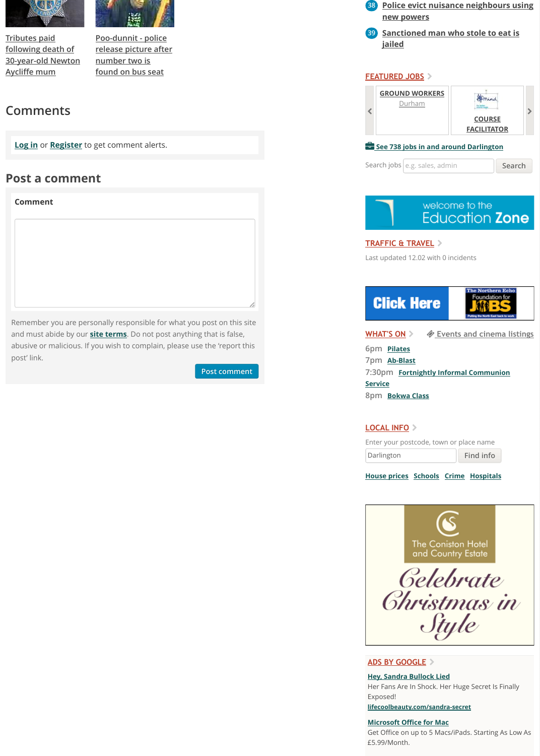[Remember you are pe](http://uatu.newsquestdigital.co.uk/click2.php?f=11564090&t=11560557&r=518711609&s=118&p=5&v=a&n=6)rs[onally responsible for w](http://uatu.newsquestdigital.co.uk/click2.php?f=11564090&t=11499577&r=518711609&s=118&p=6&v=a&n=6)hat you post on this site and must abide by our **site terms**. Do not post anything that is false, abusive or malicious. If you wish to complain, please use the 'report this post' link.

## **Post comment Post comment**